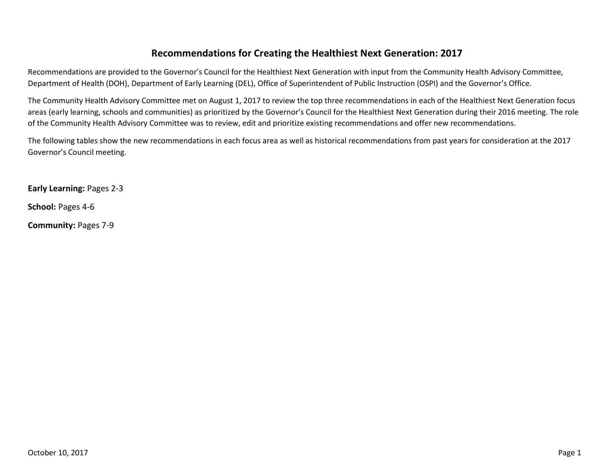## **Recommendations for Creating the Healthiest Next Generation: 2017**

Recommendations are provided to the Governor's Council for the Healthiest Next Generation with input from the Community Health Advisory Committee, Department of Health (DOH), Department of Early Learning (DEL), Office of Superintendent of Public Instruction (OSPI) and the Governor's Office.

The Community Health Advisory Committee met on August 1, 2017 to review the top three recommendations in each of the Healthiest Next Generation focus areas (early learning, schools and communities) as prioritized by the Governor's Council for the Healthiest Next Generation during their 2016 meeting. The role of the Community Health Advisory Committee was to review, edit and prioritize existing recommendations and offer new recommendations.

The following tables show the new recommendations in each focus area as well as historical recommendations from past years for consideration at the 2017 Governor's Council meeting.

**Early Learning:** Pages 2-3

**School:** Pages 4-6

**Community:** Pages 7-9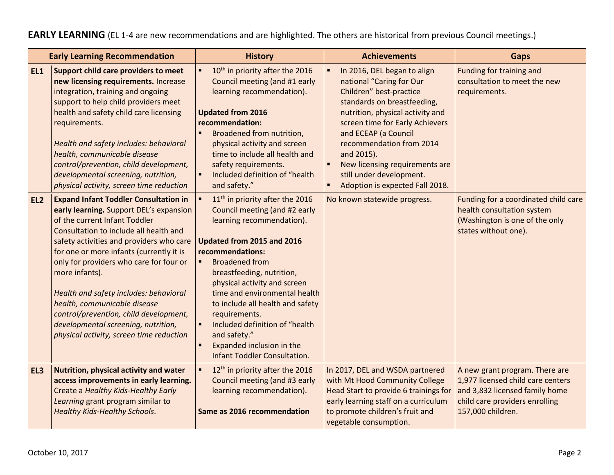## **EARLY LEARNING** (EL 1-4 are new recommendations and are highlighted. The others are historical from previous Council meetings.)

|                 | <b>Early Learning Recommendation</b>                                                                                                                                                                                                                                                                                                                                                                                                                                                                                           | <b>History</b>                                                                                                                                                                                                                                                                                                                                                                                                                                                                  | <b>Achievements</b>                                                                                                                                                                                                                                                                                                                                                                                  | <b>Gaps</b>                                                                                                                                                  |
|-----------------|--------------------------------------------------------------------------------------------------------------------------------------------------------------------------------------------------------------------------------------------------------------------------------------------------------------------------------------------------------------------------------------------------------------------------------------------------------------------------------------------------------------------------------|---------------------------------------------------------------------------------------------------------------------------------------------------------------------------------------------------------------------------------------------------------------------------------------------------------------------------------------------------------------------------------------------------------------------------------------------------------------------------------|------------------------------------------------------------------------------------------------------------------------------------------------------------------------------------------------------------------------------------------------------------------------------------------------------------------------------------------------------------------------------------------------------|--------------------------------------------------------------------------------------------------------------------------------------------------------------|
| EL1             | Support child care providers to meet<br>new licensing requirements. Increase<br>integration, training and ongoing<br>support to help child providers meet<br>health and safety child care licensing<br>requirements.<br>Health and safety includes: behavioral<br>health, communicable disease<br>control/prevention, child development,<br>developmental screening, nutrition,<br>physical activity, screen time reduction                                                                                                    | 10 <sup>th</sup> in priority after the 2016<br>٠<br>Council meeting (and #1 early<br>learning recommendation).<br><b>Updated from 2016</b><br>recommendation:<br><b>Broadened from nutrition,</b><br>physical activity and screen<br>time to include all health and<br>safety requirements.<br>Included definition of "health<br>٠<br>and safety."                                                                                                                              | In 2016, DEL began to align<br>$\blacksquare$<br>national "Caring for Our<br>Children" best-practice<br>standards on breastfeeding,<br>nutrition, physical activity and<br>screen time for Early Achievers<br>and ECEAP (a Council<br>recommendation from 2014<br>and 2015).<br>New licensing requirements are<br>$\blacksquare$<br>still under development.<br>Adoption is expected Fall 2018.<br>٠ | Funding for training and<br>consultation to meet the new<br>requirements.                                                                                    |
| EL <sub>2</sub> | <b>Expand Infant Toddler Consultation in</b><br>early learning. Support DEL's expansion<br>of the current Infant Toddler<br>Consultation to include all health and<br>safety activities and providers who care<br>for one or more infants (currently it is<br>only for providers who care for four or<br>more infants).<br>Health and safety includes: behavioral<br>health, communicable disease<br>control/prevention, child development,<br>developmental screening, nutrition,<br>physical activity, screen time reduction | 11 <sup>th</sup> in priority after the 2016<br>Council meeting (and #2 early<br>learning recommendation).<br>Updated from 2015 and 2016<br>recommendations:<br><b>Broadened from</b><br>$\blacksquare$<br>breastfeeding, nutrition,<br>physical activity and screen<br>time and environmental health<br>to include all health and safety<br>requirements.<br>Included definition of "health<br>and safety."<br>Expanded inclusion in the<br><b>Infant Toddler Consultation.</b> | No known statewide progress.                                                                                                                                                                                                                                                                                                                                                                         | Funding for a coordinated child care<br>health consultation system<br>(Washington is one of the only<br>states without one).                                 |
| EL3             | <b>Nutrition, physical activity and water</b><br>access improvements in early learning.<br>Create a Healthy Kids-Healthy Early<br>Learning grant program similar to<br><b>Healthy Kids-Healthy Schools.</b>                                                                                                                                                                                                                                                                                                                    | 12 <sup>th</sup> in priority after the 2016<br>Council meeting (and #3 early<br>learning recommendation).<br>Same as 2016 recommendation                                                                                                                                                                                                                                                                                                                                        | In 2017, DEL and WSDA partnered<br>with Mt Hood Community College<br>Head Start to provide 6 trainings for<br>early learning staff on a curriculum<br>to promote children's fruit and<br>vegetable consumption.                                                                                                                                                                                      | A new grant program. There are<br>1,977 licensed child care centers<br>and 3,832 licensed family home<br>child care providers enrolling<br>157,000 children. |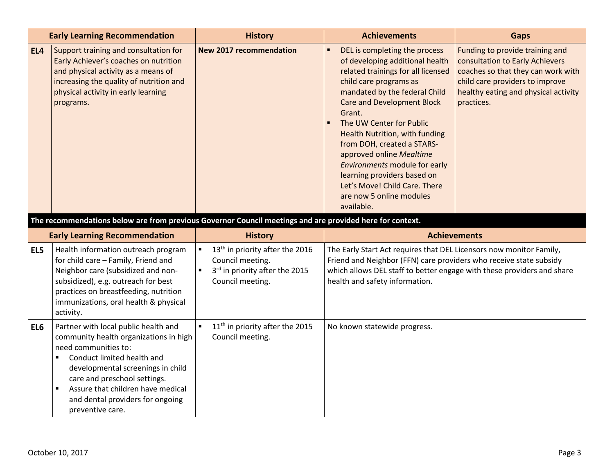|     | <b>Early Learning Recommendation</b>                                                                                                                                                                                                                   | <b>History</b>                                                                                                                                            | <b>Achievements</b>                                                                                                                                                                                                                                                                                                                                                                                                                                                                 | <b>Gaps</b>                                                                                                                                                                                       |
|-----|--------------------------------------------------------------------------------------------------------------------------------------------------------------------------------------------------------------------------------------------------------|-----------------------------------------------------------------------------------------------------------------------------------------------------------|-------------------------------------------------------------------------------------------------------------------------------------------------------------------------------------------------------------------------------------------------------------------------------------------------------------------------------------------------------------------------------------------------------------------------------------------------------------------------------------|---------------------------------------------------------------------------------------------------------------------------------------------------------------------------------------------------|
| EL4 | Support training and consultation for<br>Early Achiever's coaches on nutrition<br>and physical activity as a means of<br>increasing the quality of nutrition and<br>physical activity in early learning<br>programs.                                   | <b>New 2017 recommendation</b>                                                                                                                            | DEL is completing the process<br>of developing additional health<br>related trainings for all licensed<br>child care programs as<br>mandated by the federal Child<br><b>Care and Development Block</b><br>Grant.<br>The UW Center for Public<br>Health Nutrition, with funding<br>from DOH, created a STARS-<br>approved online Mealtime<br>Environments module for early<br>learning providers based on<br>Let's Move! Child Care. There<br>are now 5 online modules<br>available. | Funding to provide training and<br>consultation to Early Achievers<br>coaches so that they can work with<br>child care providers to improve<br>healthy eating and physical activity<br>practices. |
|     | The recommendations below are from previous Governor Council meetings and are provided here for context.                                                                                                                                               |                                                                                                                                                           |                                                                                                                                                                                                                                                                                                                                                                                                                                                                                     |                                                                                                                                                                                                   |
|     | <b>Early Learning Recommendation</b>                                                                                                                                                                                                                   | <b>History</b>                                                                                                                                            |                                                                                                                                                                                                                                                                                                                                                                                                                                                                                     | <b>Achievements</b>                                                                                                                                                                               |
| EL5 | Health information outreach program<br>for child care - Family, Friend and<br>Neighbor care (subsidized and non-<br>subsidized), e.g. outreach for best<br>practices on breastfeeding, nutrition<br>immunizations, oral health & physical<br>activity. | 13 <sup>th</sup> in priority after the 2016<br>$\blacksquare$<br>Council meeting.<br>3rd in priority after the 2015<br>$\blacksquare$<br>Council meeting. | The Early Start Act requires that DEL Licensors now monitor Family,<br>Friend and Neighbor (FFN) care providers who receive state subsidy<br>which allows DEL staff to better engage with these providers and share<br>health and safety information.                                                                                                                                                                                                                               |                                                                                                                                                                                                   |
| EL6 | Partner with local public health and<br>community health organizations in high<br>need communities to:<br>Conduct limited health and<br>$\blacksquare$                                                                                                 | 11 <sup>th</sup> in priority after the 2015<br>$\blacksquare$<br>Council meeting.                                                                         | No known statewide progress.                                                                                                                                                                                                                                                                                                                                                                                                                                                        |                                                                                                                                                                                                   |

developmental screenings in child care and preschool settings.  $\vert$  **Assure that children have medical** and dental providers for ongoing

preventive care.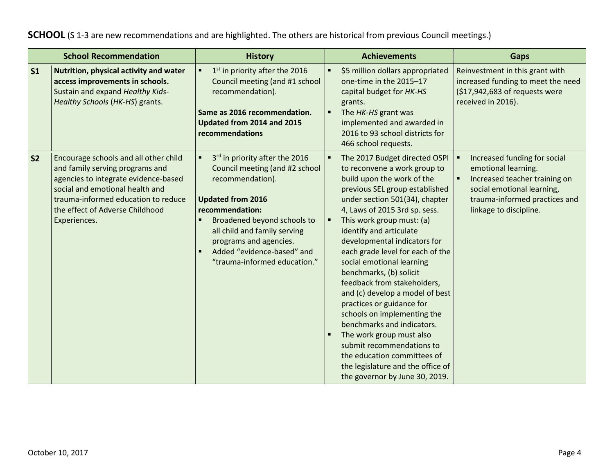## **SCHOOL** (S 1-3 are new recommendations and are highlighted. The others are historical from previous Council meetings.)

|                | <b>School Recommendation</b>                                                                                                                                                                                                                  | <b>History</b>                                                                                                                                                                                                                                                                             |                     | <b>Achievements</b>                                                                                                                                                                                                                                                                                                                                                                                                                                                                                                                                                                                                                                                                                             | <b>Gaps</b>                                                                                                                                                                   |
|----------------|-----------------------------------------------------------------------------------------------------------------------------------------------------------------------------------------------------------------------------------------------|--------------------------------------------------------------------------------------------------------------------------------------------------------------------------------------------------------------------------------------------------------------------------------------------|---------------------|-----------------------------------------------------------------------------------------------------------------------------------------------------------------------------------------------------------------------------------------------------------------------------------------------------------------------------------------------------------------------------------------------------------------------------------------------------------------------------------------------------------------------------------------------------------------------------------------------------------------------------------------------------------------------------------------------------------------|-------------------------------------------------------------------------------------------------------------------------------------------------------------------------------|
| S <sub>1</sub> | Nutrition, physical activity and water<br>access improvements in schools.<br>Sustain and expand Healthy Kids-<br>Healthy Schools (HK-HS) grants.                                                                                              | 1 <sup>st</sup> in priority after the 2016<br>Council meeting (and #1 school<br>recommendation).<br>Same as 2016 recommendation.<br>Updated from 2014 and 2015<br>recommendations                                                                                                          | ٠                   | \$5 million dollars appropriated<br>one-time in the 2015-17<br>capital budget for HK-HS<br>grants.<br>The HK-HS grant was<br>implemented and awarded in<br>2016 to 93 school districts for<br>466 school requests.                                                                                                                                                                                                                                                                                                                                                                                                                                                                                              | Reinvestment in this grant with<br>increased funding to meet the need<br>(\$17,942,683 of requests were<br>received in 2016).                                                 |
| S <sub>2</sub> | Encourage schools and all other child<br>and family serving programs and<br>agencies to integrate evidence-based<br>social and emotional health and<br>trauma-informed education to reduce<br>the effect of Adverse Childhood<br>Experiences. | 3rd in priority after the 2016<br>Council meeting (and #2 school<br>recommendation).<br><b>Updated from 2016</b><br>recommendation:<br>Broadened beyond schools to<br>all child and family serving<br>programs and agencies.<br>Added "evidence-based" and<br>"trauma-informed education." | п<br>$\blacksquare$ | The 2017 Budget directed OSPI<br>to reconvene a work group to<br>build upon the work of the<br>previous SEL group established<br>under section 501(34), chapter<br>4, Laws of 2015 3rd sp. sess.<br>This work group must: (a)<br>identify and articulate<br>developmental indicators for<br>each grade level for each of the<br>social emotional learning<br>benchmarks, (b) solicit<br>feedback from stakeholders,<br>and (c) develop a model of best<br>practices or guidance for<br>schools on implementing the<br>benchmarks and indicators.<br>The work group must also<br>submit recommendations to<br>the education committees of<br>the legislature and the office of<br>the governor by June 30, 2019. | Increased funding for social<br>emotional learning.<br>Increased teacher training on<br>social emotional learning,<br>trauma-informed practices and<br>linkage to discipline. |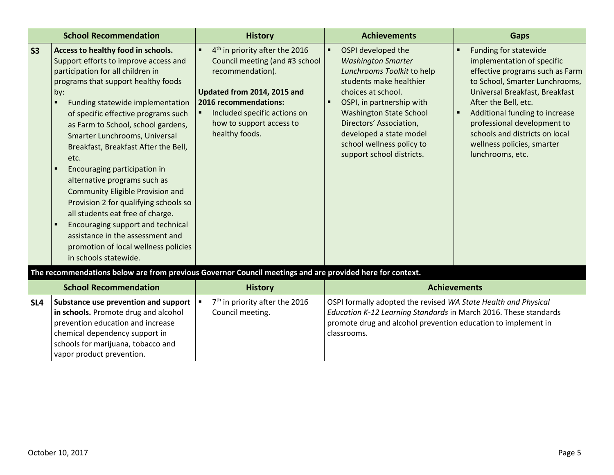| <b>School Recommendation</b> |                                                                                                                                                                                                                                                                                                                                                                                                                                                                                                                                                                                                                                                                                                    | <b>History</b>                                                                                                                                                                                                                         | <b>Achievements</b>                                                                                                                                                                                                                                                                                                                               | Gaps                                                                                                                                                                                                                                                                                                                                    |
|------------------------------|----------------------------------------------------------------------------------------------------------------------------------------------------------------------------------------------------------------------------------------------------------------------------------------------------------------------------------------------------------------------------------------------------------------------------------------------------------------------------------------------------------------------------------------------------------------------------------------------------------------------------------------------------------------------------------------------------|----------------------------------------------------------------------------------------------------------------------------------------------------------------------------------------------------------------------------------------|---------------------------------------------------------------------------------------------------------------------------------------------------------------------------------------------------------------------------------------------------------------------------------------------------------------------------------------------------|-----------------------------------------------------------------------------------------------------------------------------------------------------------------------------------------------------------------------------------------------------------------------------------------------------------------------------------------|
| S <sub>3</sub>               | Access to healthy food in schools.<br>Support efforts to improve access and<br>participation for all children in<br>programs that support healthy foods<br>by:<br>Funding statewide implementation<br>of specific effective programs such<br>as Farm to School, school gardens,<br>Smarter Lunchrooms, Universal<br>Breakfast, Breakfast After the Bell,<br>etc.<br>Encouraging participation in<br>alternative programs such as<br><b>Community Eligible Provision and</b><br>Provision 2 for qualifying schools so<br>all students eat free of charge.<br>Encouraging support and technical<br>assistance in the assessment and<br>promotion of local wellness policies<br>in schools statewide. | 4 <sup>th</sup> in priority after the 2016<br>Council meeting (and #3 school<br>recommendation).<br>Updated from 2014, 2015 and<br>2016 recommendations:<br>Included specific actions on<br>how to support access to<br>healthy foods. | OSPI developed the<br>$\blacksquare$<br><b>Washington Smarter</b><br>Lunchrooms Toolkit to help<br>students make healthier<br>choices at school.<br>OSPI, in partnership with<br>$\blacksquare$<br><b>Washington State School</b><br>Directors' Association,<br>developed a state model<br>school wellness policy to<br>support school districts. | Funding for statewide<br>implementation of specific<br>effective programs such as Farm<br>to School, Smarter Lunchrooms,<br>Universal Breakfast, Breakfast<br>After the Bell, etc.<br>Additional funding to increase<br>professional development to<br>schools and districts on local<br>wellness policies, smarter<br>lunchrooms, etc. |
|                              | The recommendations below are from previous Governor Council meetings and are provided here for context.                                                                                                                                                                                                                                                                                                                                                                                                                                                                                                                                                                                           |                                                                                                                                                                                                                                        |                                                                                                                                                                                                                                                                                                                                                   |                                                                                                                                                                                                                                                                                                                                         |
|                              | <b>School Recommendation</b>                                                                                                                                                                                                                                                                                                                                                                                                                                                                                                                                                                                                                                                                       | <b>History</b>                                                                                                                                                                                                                         |                                                                                                                                                                                                                                                                                                                                                   | <b>Achievements</b>                                                                                                                                                                                                                                                                                                                     |
| SL <sub>4</sub>              | Substance use prevention and support<br>in schools. Promote drug and alcohol<br>prevention education and increase<br>chemical dependency support in<br>schools for marijuana, tobacco and<br>vapor product prevention.                                                                                                                                                                                                                                                                                                                                                                                                                                                                             | 7 <sup>th</sup> in priority after the 2016<br>$\blacksquare$<br>Council meeting.                                                                                                                                                       | OSPI formally adopted the revised WA State Health and Physical<br>Education K-12 Learning Standards in March 2016. These standards<br>promote drug and alcohol prevention education to implement in<br>classrooms.                                                                                                                                |                                                                                                                                                                                                                                                                                                                                         |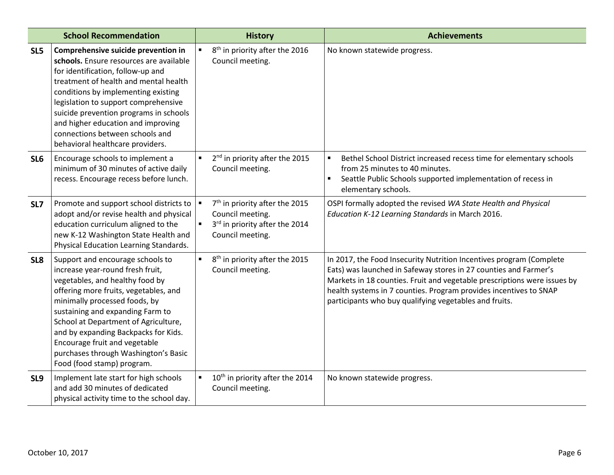|                 | <b>School Recommendation</b>                                                                                                                                                                                                                                                                                                                                                                                 | <b>History</b>                                                                                                               | <b>Achievements</b>                                                                                                                                                                                                                                                                                                                                |
|-----------------|--------------------------------------------------------------------------------------------------------------------------------------------------------------------------------------------------------------------------------------------------------------------------------------------------------------------------------------------------------------------------------------------------------------|------------------------------------------------------------------------------------------------------------------------------|----------------------------------------------------------------------------------------------------------------------------------------------------------------------------------------------------------------------------------------------------------------------------------------------------------------------------------------------------|
| SL5             | Comprehensive suicide prevention in<br>schools. Ensure resources are available<br>for identification, follow-up and<br>treatment of health and mental health<br>conditions by implementing existing<br>legislation to support comprehensive<br>suicide prevention programs in schools<br>and higher education and improving<br>connections between schools and<br>behavioral healthcare providers.           | 8 <sup>th</sup> in priority after the 2016<br>$\blacksquare$<br>Council meeting.                                             | No known statewide progress.                                                                                                                                                                                                                                                                                                                       |
| SL <sub>6</sub> | Encourage schools to implement a<br>minimum of 30 minutes of active daily<br>recess. Encourage recess before lunch.                                                                                                                                                                                                                                                                                          | $\blacksquare$<br>2 <sup>nd</sup> in priority after the 2015<br>Council meeting.                                             | $\blacksquare$<br>Bethel School District increased recess time for elementary schools<br>from 25 minutes to 40 minutes.<br>Seattle Public Schools supported implementation of recess in<br>elementary schools.                                                                                                                                     |
| SL7             | Promote and support school districts to<br>adopt and/or revise health and physical<br>education curriculum aligned to the<br>new K-12 Washington State Health and<br>Physical Education Learning Standards.                                                                                                                                                                                                  | $7th$ in priority after the 2015<br>Council meeting.<br>3rd in priority after the 2014<br>$\blacksquare$<br>Council meeting. | OSPI formally adopted the revised WA State Health and Physical<br>Education K-12 Learning Standards in March 2016.                                                                                                                                                                                                                                 |
| SL <sub>8</sub> | Support and encourage schools to<br>increase year-round fresh fruit,<br>vegetables, and healthy food by<br>offering more fruits, vegetables, and<br>minimally processed foods, by<br>sustaining and expanding Farm to<br>School at Department of Agriculture,<br>and by expanding Backpacks for Kids.<br>Encourage fruit and vegetable<br>purchases through Washington's Basic<br>Food (food stamp) program. | 8 <sup>th</sup> in priority after the 2015<br>$\blacksquare$<br>Council meeting.                                             | In 2017, the Food Insecurity Nutrition Incentives program (Complete<br>Eats) was launched in Safeway stores in 27 counties and Farmer's<br>Markets in 18 counties. Fruit and vegetable prescriptions were issues by<br>health systems in 7 counties. Program provides incentives to SNAP<br>participants who buy qualifying vegetables and fruits. |
| SL9             | Implement late start for high schools<br>and add 30 minutes of dedicated<br>physical activity time to the school day.                                                                                                                                                                                                                                                                                        | 10 <sup>th</sup> in priority after the 2014<br>Council meeting.                                                              | No known statewide progress.                                                                                                                                                                                                                                                                                                                       |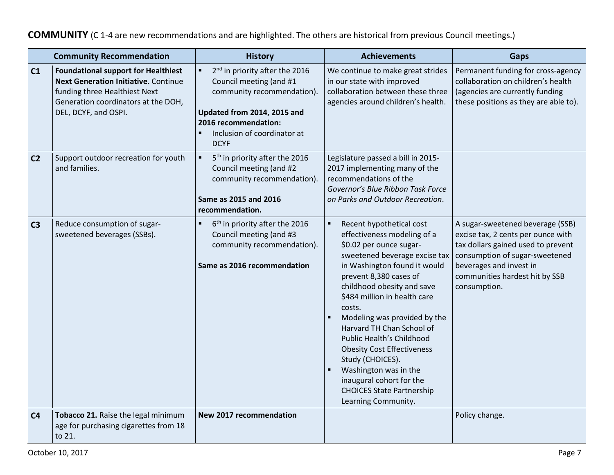**COMMUNITY** (C 1-4 are new recommendations and are highlighted. The others are historical from previous Council meetings.)

| <b>Community Recommendation</b> |                                                                                                                                                                                           | <b>History</b>                                                                                                                                                                                           | <b>Achievements</b>                                                                                                                                                                                                                                                                                                                                                                                                                                                                                                                             | Gaps                                                                                                                                                                                                                        |
|---------------------------------|-------------------------------------------------------------------------------------------------------------------------------------------------------------------------------------------|----------------------------------------------------------------------------------------------------------------------------------------------------------------------------------------------------------|-------------------------------------------------------------------------------------------------------------------------------------------------------------------------------------------------------------------------------------------------------------------------------------------------------------------------------------------------------------------------------------------------------------------------------------------------------------------------------------------------------------------------------------------------|-----------------------------------------------------------------------------------------------------------------------------------------------------------------------------------------------------------------------------|
| C <sub>1</sub>                  | <b>Foundational support for Healthiest</b><br><b>Next Generation Initiative. Continue</b><br>funding three Healthiest Next<br>Generation coordinators at the DOH,<br>DEL, DCYF, and OSPI. | 2 <sup>nd</sup> in priority after the 2016<br>Council meeting (and #1<br>community recommendation).<br>Updated from 2014, 2015 and<br>2016 recommendation:<br>Inclusion of coordinator at<br><b>DCYF</b> | We continue to make great strides<br>in our state with improved<br>collaboration between these three<br>agencies around children's health.                                                                                                                                                                                                                                                                                                                                                                                                      | Permanent funding for cross-agency<br>collaboration on children's health<br>(agencies are currently funding<br>these positions as they are able to).                                                                        |
| C <sub>2</sub>                  | Support outdoor recreation for youth<br>and families.                                                                                                                                     | 5 <sup>th</sup> in priority after the 2016<br>Council meeting (and #2<br>community recommendation).<br>Same as 2015 and 2016<br>recommendation.                                                          | Legislature passed a bill in 2015-<br>2017 implementing many of the<br>recommendations of the<br>Governor's Blue Ribbon Task Force<br>on Parks and Outdoor Recreation.                                                                                                                                                                                                                                                                                                                                                                          |                                                                                                                                                                                                                             |
| C <sub>3</sub>                  | Reduce consumption of sugar-<br>sweetened beverages (SSBs).                                                                                                                               | 6 <sup>th</sup> in priority after the 2016<br>$\blacksquare$<br>Council meeting (and #3<br>community recommendation).<br>Same as 2016 recommendation                                                     | $\blacksquare$<br>Recent hypothetical cost<br>effectiveness modeling of a<br>\$0.02 per ounce sugar-<br>sweetened beverage excise tax<br>in Washington found it would<br>prevent 8,380 cases of<br>childhood obesity and save<br>\$484 million in health care<br>costs.<br>Modeling was provided by the<br>Harvard TH Chan School of<br>Public Health's Childhood<br><b>Obesity Cost Effectiveness</b><br>Study (CHOICES).<br>Washington was in the<br>٠<br>inaugural cohort for the<br><b>CHOICES State Partnership</b><br>Learning Community. | A sugar-sweetened beverage (SSB)<br>excise tax, 2 cents per ounce with<br>tax dollars gained used to prevent<br>consumption of sugar-sweetened<br>beverages and invest in<br>communities hardest hit by SSB<br>consumption. |
| C <sub>4</sub>                  | Tobacco 21. Raise the legal minimum<br>age for purchasing cigarettes from 18<br>to 21.                                                                                                    | New 2017 recommendation                                                                                                                                                                                  |                                                                                                                                                                                                                                                                                                                                                                                                                                                                                                                                                 | Policy change.                                                                                                                                                                                                              |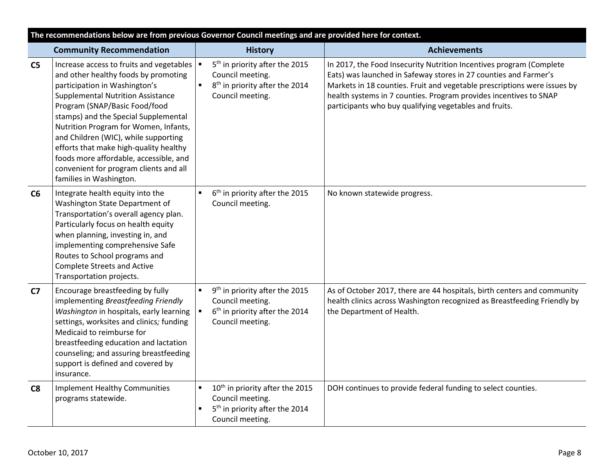| The recommendations below are from previous Governor Council meetings and are provided here for context. |                                                                                                                                                                                                                                                                                                                                                                                                                                                                                  |                                  |                                                                                                                                   |                                                                                                                                                                                                                                                                                                                                                    |
|----------------------------------------------------------------------------------------------------------|----------------------------------------------------------------------------------------------------------------------------------------------------------------------------------------------------------------------------------------------------------------------------------------------------------------------------------------------------------------------------------------------------------------------------------------------------------------------------------|----------------------------------|-----------------------------------------------------------------------------------------------------------------------------------|----------------------------------------------------------------------------------------------------------------------------------------------------------------------------------------------------------------------------------------------------------------------------------------------------------------------------------------------------|
|                                                                                                          | <b>Community Recommendation</b>                                                                                                                                                                                                                                                                                                                                                                                                                                                  |                                  | <b>History</b>                                                                                                                    | <b>Achievements</b>                                                                                                                                                                                                                                                                                                                                |
| C <sub>5</sub>                                                                                           | Increase access to fruits and vegetables<br>and other healthy foods by promoting<br>participation in Washington's<br><b>Supplemental Nutrition Assistance</b><br>Program (SNAP/Basic Food/food<br>stamps) and the Special Supplemental<br>Nutrition Program for Women, Infants,<br>and Children (WIC), while supporting<br>efforts that make high-quality healthy<br>foods more affordable, accessible, and<br>convenient for program clients and all<br>families in Washington. |                                  | 5 <sup>th</sup> in priority after the 2015<br>Council meeting.<br>8 <sup>th</sup> in priority after the 2014<br>Council meeting.  | In 2017, the Food Insecurity Nutrition Incentives program (Complete<br>Eats) was launched in Safeway stores in 27 counties and Farmer's<br>Markets in 18 counties. Fruit and vegetable prescriptions were issues by<br>health systems in 7 counties. Program provides incentives to SNAP<br>participants who buy qualifying vegetables and fruits. |
| C6                                                                                                       | Integrate health equity into the<br>Washington State Department of<br>Transportation's overall agency plan.<br>Particularly focus on health equity<br>when planning, investing in, and<br>implementing comprehensive Safe<br>Routes to School programs and<br><b>Complete Streets and Active</b><br>Transportation projects.                                                                                                                                                     |                                  | 6 <sup>th</sup> in priority after the 2015<br>Council meeting.                                                                    | No known statewide progress.                                                                                                                                                                                                                                                                                                                       |
| C <sub>7</sub>                                                                                           | Encourage breastfeeding by fully<br>implementing Breastfeeding Friendly<br>Washington in hospitals, early learning<br>settings, worksites and clinics; funding<br>Medicaid to reimburse for<br>breastfeeding education and lactation<br>counseling; and assuring breastfeeding<br>support is defined and covered by<br>insurance.                                                                                                                                                | $\blacksquare$<br>$\blacksquare$ | 9 <sup>th</sup> in priority after the 2015<br>Council meeting.<br>6 <sup>th</sup> in priority after the 2014<br>Council meeting.  | As of October 2017, there are 44 hospitals, birth centers and community<br>health clinics across Washington recognized as Breastfeeding Friendly by<br>the Department of Health.                                                                                                                                                                   |
| C8                                                                                                       | <b>Implement Healthy Communities</b><br>programs statewide.                                                                                                                                                                                                                                                                                                                                                                                                                      | $\blacksquare$                   | 10 <sup>th</sup> in priority after the 2015<br>Council meeting.<br>5 <sup>th</sup> in priority after the 2014<br>Council meeting. | DOH continues to provide federal funding to select counties.                                                                                                                                                                                                                                                                                       |